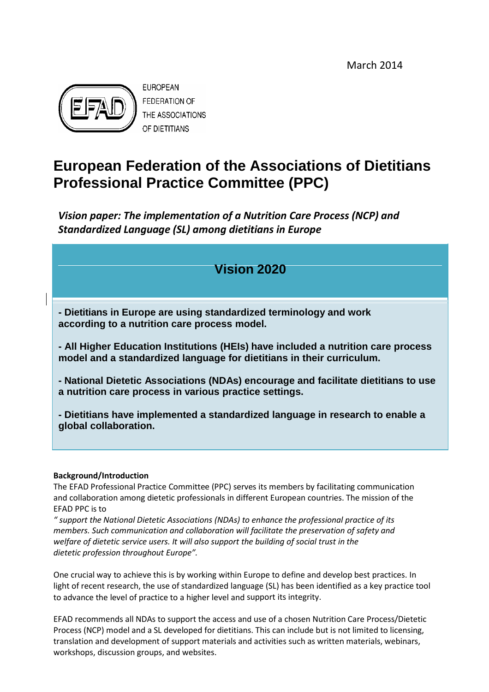March 2014



# **European Federation of the Associations of Dietitians Professional Practice Committee (PPC)**

*Vision paper: The implementation of a Nutrition Care Process (NCP) and Standardized Language (SL) among dietitians in Europe*

# **Vision 2020**

**- Dietitians in Europe are using standardized terminology and work according to a nutrition care process model.**

**- All Higher Education Institutions (HEIs) have included a nutrition care process model and a standardized language for dietitians in their curriculum.**

**- National Dietetic Associations (NDAs) encourage and facilitate dietitians to use a nutrition care process in various practice settings.**

**- Dietitians have implemented a standardized language in research to enable a global collaboration.**

#### **Background/Introduction**

The EFAD Professional Practice Committee (PPC) serves its members by facilitating communication and collaboration among dietetic professionals in different European countries. The mission of the EFAD PPC is to

*" support the National Dietetic Associations (NDAs) to enhance the professional practice of its members. Such communication and collaboration will facilitate the preservation of safety and welfare of dietetic service users. It will also support the building of social trust in the dietetic profession throughout Europe".*

One crucial way to achieve this is by working within Europe to define and develop best practices. In light of recent research, the use of standardized language (SL) has been identified as a key practice tool to advance the level of practice to a higher level and support its integrity.

EFAD recommends all NDAs to support the access and use of a chosen Nutrition Care Process/Dietetic Process (NCP) model and a SL developed for dietitians. This can include but is not limited to licensing, translation and development of support materials and activities such as written materials, webinars, workshops, discussion groups, and websites.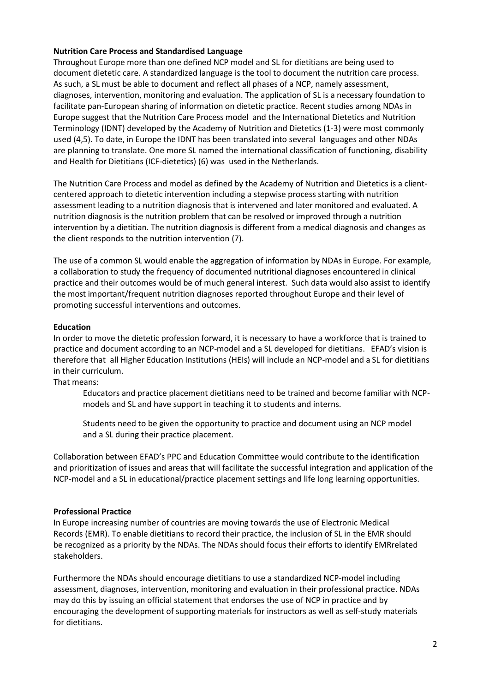#### **Nutrition Care Process and Standardised Language**

Throughout Europe more than one defined NCP model and SL for dietitians are being used to document dietetic care. A standardized language is the tool to document the nutrition care process. As such, a SL must be able to document and reflect all phases of a NCP, namely assessment, diagnoses, intervention, monitoring and evaluation. The application of SL is a necessary foundation to facilitate pan-European sharing of information on dietetic practice. Recent studies among NDAs in Europe suggest that the Nutrition Care Process model and the International Dietetics and Nutrition Terminology (IDNT) developed by the Academy of Nutrition and Dietetics (1-3) were most commonly used (4,5). To date, in Europe the IDNT has been translated into several languages and other NDAs are planning to translate. One more SL named the international classification of functioning, disability and Health for Dietitians (ICF-dietetics) (6) was used in the Netherlands.

The Nutrition Care Process and model as defined by the Academy of Nutrition and Dietetics is a clientcentered approach to dietetic intervention including a stepwise process starting with nutrition assessment leading to a nutrition diagnosis that is intervened and later monitored and evaluated. A nutrition diagnosis is the nutrition problem that can be resolved or improved through a nutrition intervention by a dietitian. The nutrition diagnosis is different from a medical diagnosis and changes as the client responds to the nutrition intervention (7).

The use of a common SL would enable the aggregation of information by NDAs in Europe. For example, a collaboration to study the frequency of documented nutritional diagnoses encountered in clinical practice and their outcomes would be of much general interest. Such data would also assist to identify the most important/frequent nutrition diagnoses reported throughout Europe and their level of promoting successful interventions and outcomes.

# **Education**

In order to move the dietetic profession forward, it is necessary to have a workforce that is trained to practice and document according to an NCP-model and a SL developed for dietitians. EFAD's vision is therefore that all Higher Education Institutions (HEIs) will include an NCP-model and a SL for dietitians in their curriculum.

That means:

Educators and practice placement dietitians need to be trained and become familiar with NCPmodels and SL and have support in teaching it to students and interns.

Students need to be given the opportunity to practice and document using an NCP model and a SL during their practice placement.

Collaboration between EFAD's PPC and Education Committee would contribute to the identification and prioritization of issues and areas that will facilitate the successful integration and application of the NCP-model and a SL in educational/practice placement settings and life long learning opportunities.

# **Professional Practice**

In Europe increasing number of countries are moving towards the use of Electronic Medical Records (EMR). To enable dietitians to record their practice, the inclusion of SL in the EMR should be recognized as a priority by the NDAs. The NDAs should focus their efforts to identify EMRrelated stakeholders.

Furthermore the NDAs should encourage dietitians to use a standardized NCP-model including assessment, diagnoses, intervention, monitoring and evaluation in their professional practice. NDAs may do this by issuing an official statement that endorses the use of NCP in practice and by encouraging the development of supporting materials for instructors as well as self-study materials for dietitians.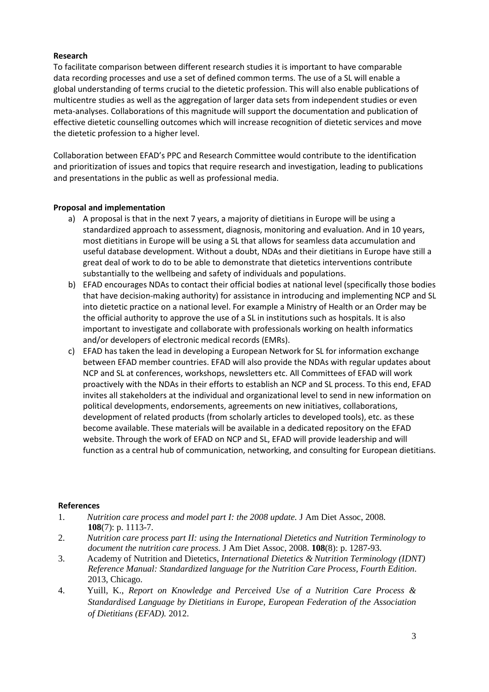# **Research**

To facilitate comparison between different research studies it is important to have comparable data recording processes and use a set of defined common terms. The use of a SL will enable a global understanding of terms crucial to the dietetic profession. This will also enable publications of multicentre studies as well as the aggregation of larger data sets from independent studies or even meta-analyses. Collaborations of this magnitude will support the documentation and publication of effective dietetic counselling outcomes which will increase recognition of dietetic services and move the dietetic profession to a higher level.

Collaboration between EFAD's PPC and Research Committee would contribute to the identification and prioritization of issues and topics that require research and investigation, leading to publications and presentations in the public as well as professional media.

# **Proposal and implementation**

- a) A proposal is that in the next 7 years, a majority of dietitians in Europe will be using a standardized approach to assessment, diagnosis, monitoring and evaluation. And in 10 years, most dietitians in Europe will be using a SL that allows for seamless data accumulation and useful database development. Without a doubt, NDAs and their dietitians in Europe have still a great deal of work to do to be able to demonstrate that dietetics interventions contribute substantially to the wellbeing and safety of individuals and populations.
- b) EFAD encourages NDAs to contact their official bodies at national level (specifically those bodies that have decision-making authority) for assistance in introducing and implementing NCP and SL into dietetic practice on a national level. For example a Ministry of Health or an Order may be the official authority to approve the use of a SL in institutions such as hospitals. It is also important to investigate and collaborate with professionals working on health informatics and/or developers of electronic medical records (EMRs).
- c) EFAD has taken the lead in developing a European Network for SL for information exchange between EFAD member countries. EFAD will also provide the NDAs with regular updates about NCP and SL at conferences, workshops, newsletters etc. All Committees of EFAD will work proactively with the NDAs in their efforts to establish an NCP and SL process. To this end, EFAD invites all stakeholders at the individual and organizational level to send in new information on political developments, endorsements, agreements on new initiatives, collaborations, development of related products (from scholarly articles to developed tools), etc. as these become available. These materials will be available in a dedicated repository on the EFAD website. Through the work of EFAD on NCP and SL, EFAD will provide leadership and will function as a central hub of communication, networking, and consulting for European dietitians.

#### **References**

- 1. *Nutrition care process and model part I: the 2008 update.* J Am Diet Assoc, 2008. **108**(7): p. 1113-7.
- 2. *Nutrition care process part II: using the International Dietetics and Nutrition Terminology to document the nutrition care process.* J Am Diet Assoc, 2008. **108**(8): p. 1287-93.
- 3. Academy of Nutrition and Dietetics, *International Dietetics & Nutrition Terminology (IDNT) Reference Manual: Standardized language for the Nutrition Care Process, Fourth Edition*. 2013, Chicago.
- 4. Yuill, K., *Report on Knowledge and Perceived Use of a Nutrition Care Process & Standardised Language by Dietitians in Europe, European Federation of the Association of Dietitians (EFAD).* 2012.